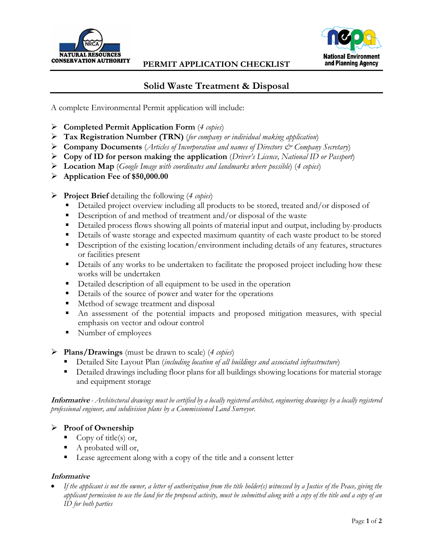

## **PERMIT APPLICATION CHECKLIST**



## **Solid Waste Treatment & Disposal**

A complete Environmental Permit application will include:

- **Completed Permit Application Form** (*4 copies*)
- **Tax Registration Number (TRN)** (*for company or individual making application*)
- **Company Documents** (*Articles of Incorporation and names of Directors & Company Secretary*)
- **Copy of ID for person making the application** (*Driver's Licence, National ID or Passport*)
- **Location Map** (*Google Image with coordinates and landmarks where possible*) (*4 copies*)
- **Application Fee of \$50,000.00**
- **Project Brief** detailing the following (*4 copies*)
	- Detailed project overview including all products to be stored, treated and/or disposed of
	- Description of and method of treatment and/or disposal of the waste
	- Detailed process flows showing all points of material input and output, including by-products
	- Details of waste storage and expected maximum quantity of each waste product to be stored
	- Description of the existing location/environment including details of any features, structures or facilities present
	- Details of any works to be undertaken to facilitate the proposed project including how these works will be undertaken
	- Detailed description of all equipment to be used in the operation
	- Details of the source of power and water for the operations
	- Method of sewage treatment and disposal
	- An assessment of the potential impacts and proposed mitigation measures, with special emphasis on vector and odour control
	- Number of employees
- **Plans/Drawings** (must be drawn to scale) (*4 copies*)
	- Detailed Site Layout Plan (*including location of all buildings and associated infrastructure*)
	- Detailed drawings including floor plans for all buildings showing locations for material storage and equipment storage

**Informative** *- Architectural drawings must be certified by a locally registered architect, engineering drawings by a locally registered professional engineer, and subdivision plans by a Commissioned Land Surveyor.*

## **Proof of Ownership**

- Copy of title(s) or,
- A probated will or,
- Lease agreement along with a copy of the title and a consent letter

## **Informative**

 *If the applicant is not the owner, a letter of authorization from the title holder(s) witnessed by a Justice of the Peace, giving the applicant permission to use the land for the proposed activity, must be submitted along with a copy of the title and a copy of an ID for both parties*